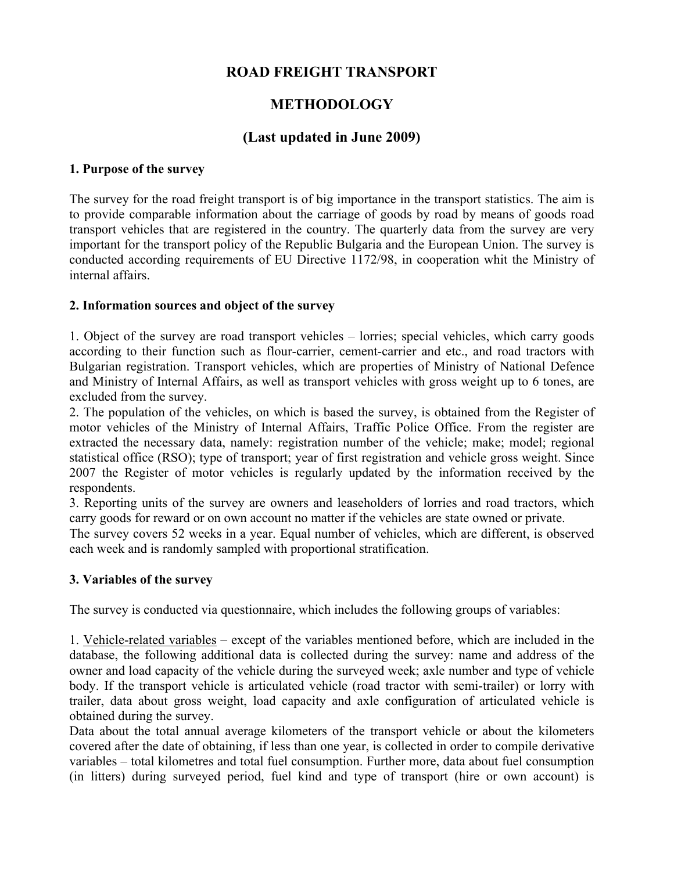# **ROAD FREIGHT TRANSPORT**

# **METHODOLOGY**

## **(Last updated in June 2009)**

#### **1. Purpose of the survey**

The survey for the road freight transport is of big importance in the transport statistics. The aim is to provide comparable information about the carriage of goods by road by means of goods road transport vehicles that are registered in the country. The quarterly data from the survey are very important for the transport policy of the Republic Bulgaria and the European Union. The survey is conducted according requirements of EU Directive 1172/98, in cooperation whit the Ministry of internal affairs.

### **2. Information sources and object of the survey**

1. Object of the survey are road transport vehicles – lorries; special vehicles, which carry goods according to their function such as flour-carrier, cement-carrier and etc., and road tractors with Bulgarian registration. Transport vehicles, which are properties of Ministry of National Defence and Ministry of Internal Affairs, as well as transport vehicles with gross weight up to 6 tones, are excluded from the survey.

2. The population of the vehicles, on which is based the survey, is obtained from the Register of motor vehicles of the Ministry of Internal Affairs, Traffic Police Office. From the register are extracted the necessary data, namely: registration number of the vehicle; make; model; regional statistical office (RSO); type of transport; year of first registration and vehicle gross weight. Since 2007 the Register of motor vehicles is regularly updated by the information received by the respondents.

3. Reporting units of the survey are owners and leaseholders of lorries and road tractors, which carry goods for reward or on own account no matter if the vehicles are state owned or private.

The survey covers 52 weeks in a year. Equal number of vehicles, which are different, is observed each week and is randomly sampled with proportional stratification.

### **3. Variables of the survey**

The survey is conducted via questionnaire, which includes the following groups of variables:

1. Vehicle-related variables – except of the variables mentioned before, which are included in the database, the following additional data is collected during the survey: name and address of the owner and load capacity of the vehicle during the surveyed week; axle number and type of vehicle body. If the transport vehicle is articulated vehicle (road tractor with semi-trailer) or lorry with trailer, data about gross weight, load capacity and axle configuration of articulated vehicle is obtained during the survey.

Data about the total annual average kilometers of the transport vehicle or about the kilometers covered after the date of obtaining, if less than one year, is collected in order to compile derivative variables – total kilometres and total fuel consumption. Further more, data about fuel consumption (in litters) during surveyed period, fuel kind and type of transport (hire or own account) is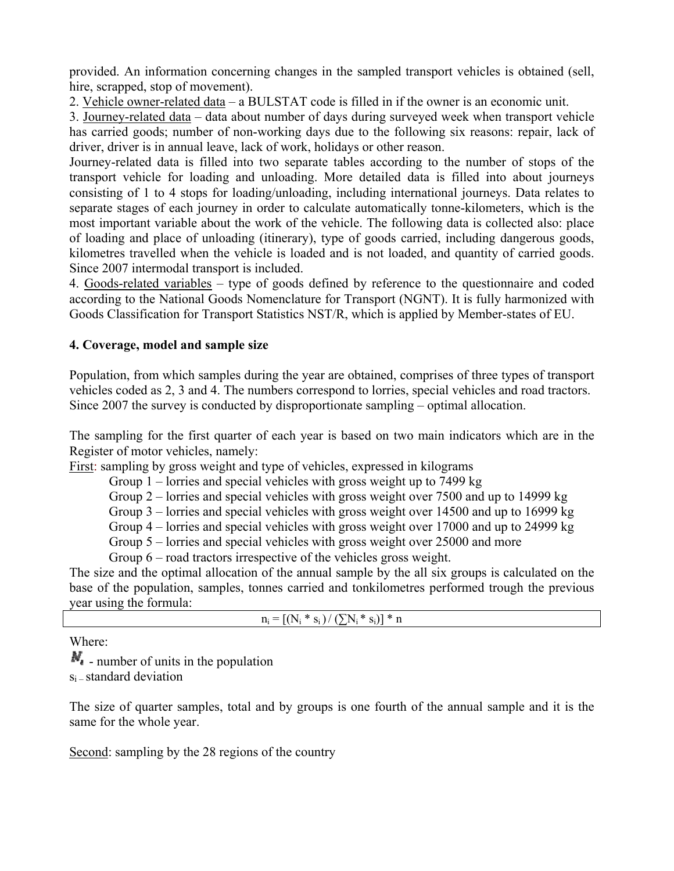provided. An information concerning changes in the sampled transport vehicles is obtained (sell, hire, scrapped, stop of movement).

2. Vehicle owner-related data – a BULSTAT code is filled in if the owner is an economic unit.

3. Journey-related data – data about number of days during surveyed week when transport vehicle has carried goods; number of non-working days due to the following six reasons: repair, lack of driver, driver is in annual leave, lack of work, holidays or other reason.

Journey-related data is filled into two separate tables according to the number of stops of the transport vehicle for loading and unloading. More detailed data is filled into about journeys consisting of 1 to 4 stops for loading/unloading, including international journeys. Data relates to separate stages of each journey in order to calculate automatically tonne-kilometers, which is the most important variable about the work of the vehicle. The following data is collected also: place of loading and place of unloading (itinerary), type of goods carried, including dangerous goods, kilometres travelled when the vehicle is loaded and is not loaded, and quantity of carried goods. Since 2007 intermodal transport is included.

4. Goods-related variables – type of goods defined by reference to the questionnaire and coded according to the National Goods Nomenclature for Transport (NGNT). It is fully harmonized with Goods Classification for Transport Statistics NST/R, which is applied by Member-states of EU.

### **4. Coverage, model and sample size**

Population, from which samples during the year are obtained, comprises of three types of transport vehicles coded as 2, 3 and 4. The numbers correspond to lorries, special vehicles and road tractors. Since 2007 the survey is conducted by disproportionate sampling – optimal allocation.

The sampling for the first quarter of each year is based on two main indicators which are in the Register of motor vehicles, namely:

First: sampling by gross weight and type of vehicles, expressed in kilograms

Group 1 – lorries and special vehicles with gross weight up to 7499 kg

Group 2 – lorries and special vehicles with gross weight over 7500 and up to 14999 kg

Group 3 – lorries and special vehicles with gross weight over 14500 and up to 16999 kg

Group 4 – lorries and special vehicles with gross weight over 17000 and up to 24999 kg

Group 5 – lorries and special vehicles with gross weight over 25000 and more

Group 6 – road tractors irrespective of the vehicles gross weight.

The size and the optimal allocation of the annual sample by the all six groups is calculated on the base of the population, samples, tonnes carried and tonkilometres performed trough the previous year using the formula:

| $n_i = [(N_i * s_i) / (\sum N_i * s_i)] * n$ |  |
|----------------------------------------------|--|
|----------------------------------------------|--|

Where:

 $\mathbf{M}_{\bullet}$  - number of units in the population  $s_i$  – standard deviation

The size of quarter samples, total and by groups is one fourth of the annual sample and it is the same for the whole year.

Second: sampling by the 28 regions of the country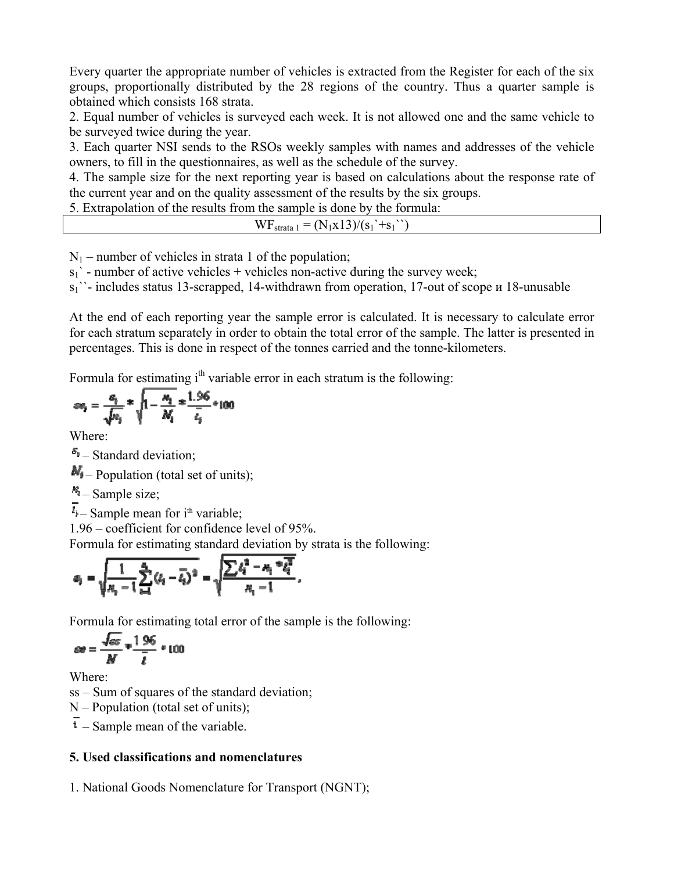Every quarter the appropriate number of vehicles is extracted from the Register for each of the six groups, proportionally distributed by the 28 regions of the country. Thus a quarter sample is obtained which consists 168 strata.

2. Equal number of vehicles is surveyed each week. It is not allowed one and the same vehicle to be surveyed twice during the year.

3. Each quarter NSI sends to the RSOs weekly samples with names and addresses of the vehicle owners, to fill in the questionnaires, as well as the schedule of the survey.

4. The sample size for the next reporting year is based on calculations about the response rate of the current year and on the quality assessment of the results by the six groups.

5. Extrapolation of the results from the sample is done by the formula:

| WF<br>$= (N_1x13)/(s_1)$<br>$+$ S <sub>1</sub><br>strata 1 |
|------------------------------------------------------------|
|------------------------------------------------------------|

 $N_1$  – number of vehicles in strata 1 of the population;

 $s_1$ ' - number of active vehicles + vehicles non-active during the survey week;

s<sup>1</sup>)<sup>-</sup> includes status 13-scrapped, 14-withdrawn from operation, 17-out of scope и 18-unusable

At the end of each reporting year the sample error is calculated. It is necessary to calculate error for each stratum separately in order to obtain the total error of the sample. The latter is presented in percentages. This is done in respect of the tonnes carried and the tonne-kilometers.

Formula for estimating  $i<sup>th</sup>$  variable error in each stratum is the following:

$$
\varepsilon v_i = \frac{c_i}{\sqrt{v_i}} * \sqrt{1 - \frac{n_i}{N_i}} * \frac{1.96}{\frac{1}{c_i}} * 100
$$

Where:

 $S_i$  – Standard deviation;

 $M_{\parallel}$  – Population (total set of units);

 $\frac{1}{2}$ – Sample size;

 $\overline{I_i}$  – Sample mean for i<sup>th</sup> variable;

1.96 – coefficient for confidence level of 95%.

Formula for estimating standard deviation by strata is the following:

$$
a_i = \sqrt{\frac{1}{n_i-1}\sum_{i=1}^{n_i}(i_i-\bar{i}_i)^2} = \sqrt{\frac{\sum i_i^2 - n_i^{-n}\bar{i}_i^2}{n_i-1}},
$$

Formula for estimating total error of the sample is the following:

$$
\omega = \frac{\sqrt{\omega s}}{N} \times \frac{1.96}{\bar{t}} \times 100
$$

Where:

ss – Sum of squares of the standard deviation;

N – Population (total set of units);

 $\overline{t}$  – Sample mean of the variable.

### **5. Used classifications and nomenclatures**

1. National Goods Nomenclature for Transport (NGNT);